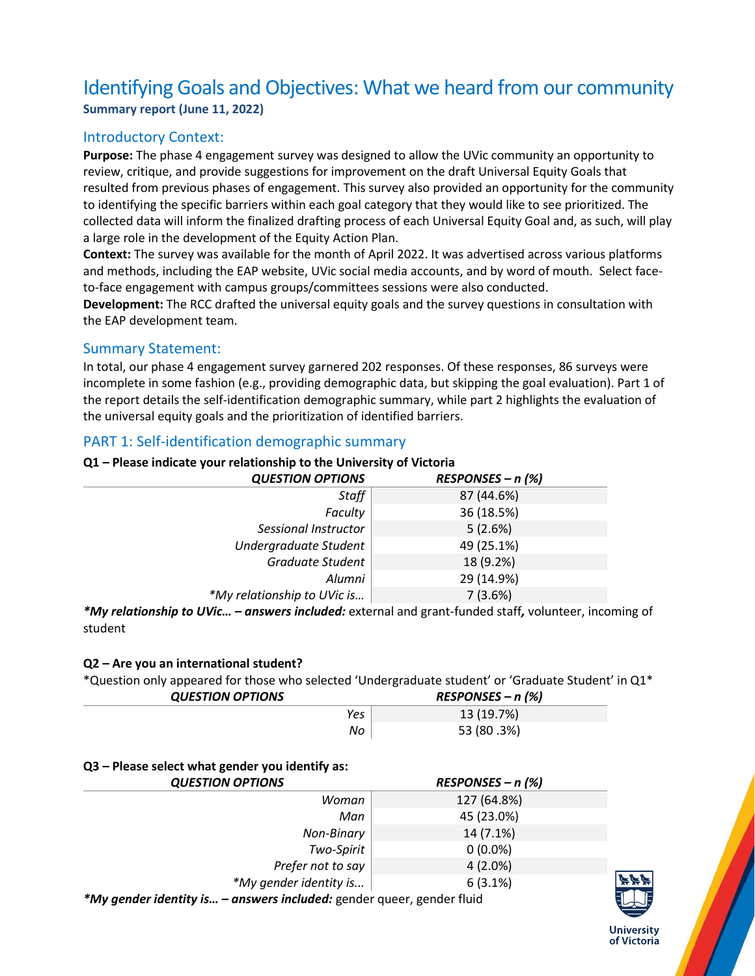# Identifying Goals and Objectives: What we heard from our community **Summary report (June 11, 2022)**

## Introductory Context:

**Purpose:** The phase 4 engagement survey was designed to allow the UVic community an opportunity to review, critique, and provide suggestions for improvement on the draft Universal Equity Goals that resulted from previous phases of engagement. This survey also provided an opportunity for the community to identifying the specific barriers within each goal category that they would like to see prioritized. The collected data will inform the finalized drafting process of each Universal Equity Goal and, as such, will play a large role in the development of the Equity Action Plan.

**Context:** The survey was available for the month of April 2022. It was advertised across various platforms and methods, including the EAP website, UVic social media accounts, and by word of mouth. Select faceto-face engagement with campus groups/committees sessions were also conducted.

**Development:** The RCC drafted the universal equity goals and the survey questions in consultation with the EAP development team.

## Summary Statement:

In total, our phase 4 engagement survey garnered 202 responses. Of these responses, 86 surveys were incomplete in some fashion (e.g., providing demographic data, but skipping the goal evaluation). Part 1 of the report details the self-identification demographic summary, while part 2 highlights the evaluation of the universal equity goals and the prioritization of identified barriers.

## PART 1: Self-identification demographic summary

#### **Q1 – Please indicate your relationship to the University of Victoria**

| <b>QUESTION OPTIONS</b>     | $RESPONSES - n$ (%) |
|-----------------------------|---------------------|
| Staff                       | 87 (44.6%)          |
| Faculty                     | 36 (18.5%)          |
| Sessional Instructor        | 5(2.6%)             |
| Undergraduate Student       | 49 (25.1%)          |
| <b>Graduate Student</b>     | 18 (9.2%)           |
| Alumni                      | 29 (14.9%)          |
| *My relationship to UVic is | 7(3.6%)             |

*\*My relationship to UVic… – answers included:* external and grant-funded staff*,* volunteer, incoming of student

#### **Q2 – Are you an international student?**

\*Question only appeared for those who selected 'Undergraduate student' or 'Graduate Student' in Q1\*

| <b>QUESTION OPTIONS</b> | $RESPONSES - n$ (%) |
|-------------------------|---------------------|
| Yes                     | 13 (19.7%)          |
| No                      | 53 (80.3%)          |

#### **Q3 – Please select what gender you identify as:**

|       | <b>QUESTION OPTIONS</b>                       | $RESPONSES - n$ (%) |  |
|-------|-----------------------------------------------|---------------------|--|
|       | Woman                                         | 127 (64.8%)         |  |
|       | Man                                           | 45 (23.0%)          |  |
|       | Non-Binary                                    | 14 (7.1%)           |  |
|       | Two-Spirit                                    | $0(0.0\%)$          |  |
|       | Prefer not to say                             | $4(2.0\%)$          |  |
|       | *My gender identity is                        | 6(3.1%)             |  |
| $*AA$ | experience included condar quase condar fluid |                     |  |

*\*My gender identity is… – answers included:* gender queer, gender fluid



**University** of Victoria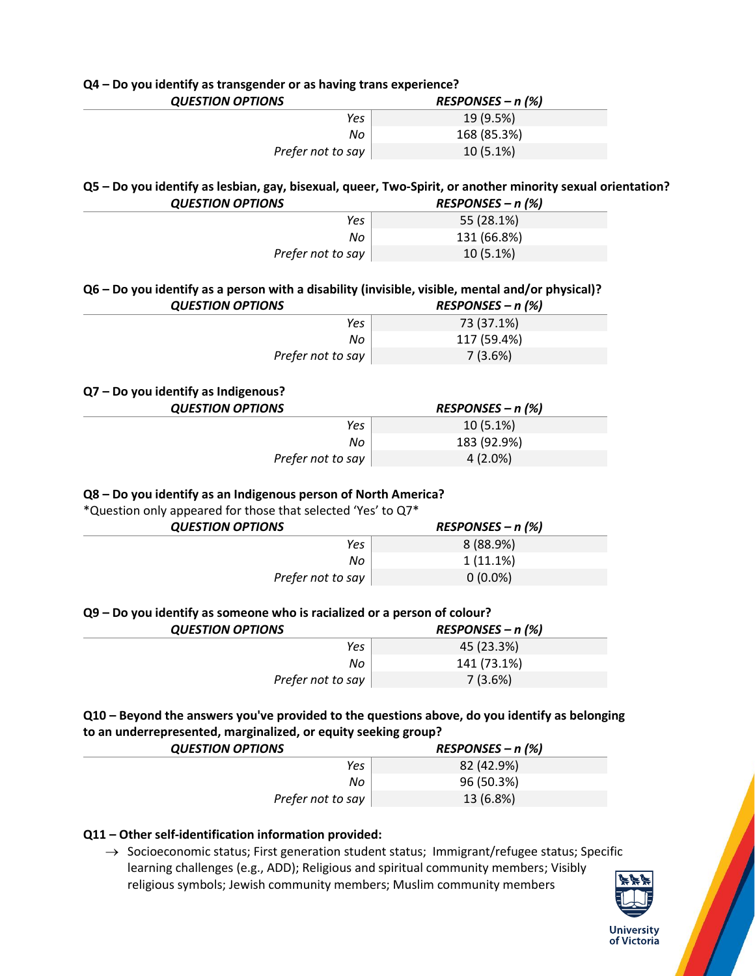| Q4 - Do you identify as transgender or as having trans experience?                                         |                        |
|------------------------------------------------------------------------------------------------------------|------------------------|
| <b>QUESTION OPTIONS</b>                                                                                    | $RESPONSES - n$ (%)    |
| Yes                                                                                                        | 19 (9.5%)              |
| No                                                                                                         | 168 (85.3%)            |
| Prefer not to say                                                                                          | 10 (5.1%)              |
|                                                                                                            |                        |
| Q5 - Do you identify as lesbian, gay, bisexual, queer, Two-Spirit, or another minority sexual orientation? |                        |
| <b>QUESTION OPTIONS</b>                                                                                    | $RESPONSES - n$ (%)    |
| Yes                                                                                                        | 55 (28.1%)             |
| No                                                                                                         | 131 (66.8%)            |
| Prefer not to say                                                                                          | 10 (5.1%)              |
|                                                                                                            |                        |
| Q6 - Do you identify as a person with a disability (invisible, visible, mental and/or physical)?           |                        |
| <b>QUESTION OPTIONS</b>                                                                                    | $RESPONSES - n$ (%)    |
| Yes                                                                                                        | 73 (37.1%)             |
| No                                                                                                         | 117 (59.4%)            |
| Prefer not to say                                                                                          | 7(3.6%)                |
|                                                                                                            |                        |
| Q7 - Do you identify as Indigenous?                                                                        |                        |
| <b>QUESTION OPTIONS</b>                                                                                    | $RESPONSES - n$ (%)    |
| Yes                                                                                                        | 10 (5.1%)              |
| No                                                                                                         | 183 (92.9%)            |
| Prefer not to say                                                                                          | $4(2.0\%)$             |
|                                                                                                            |                        |
| Q8 - Do you identify as an Indigenous person of North America?                                             |                        |
| *Question only appeared for those that selected 'Yes' to Q7*                                               |                        |
| <b>QUESTION OPTIONS</b>                                                                                    | $RESPONSES - n$ (%)    |
| Yes                                                                                                        | 8 (88.9%)              |
| No                                                                                                         | 1(11.1%)               |
| Prefer not to say                                                                                          | $0(0.0\%)$             |
|                                                                                                            |                        |
| Q9 - Do you identify as someone who is racialized or a person of colour?                                   |                        |
|                                                                                                            | RESPONSES - n (%)      |
|                                                                                                            |                        |
| <b>QUESTION OPTIONS</b>                                                                                    |                        |
| Yes                                                                                                        | 45 (23.3%)             |
| No<br>Prefer not to say                                                                                    | 141 (73.1%)<br>7(3.6%) |

| <b>QUESTION OPTIONS</b> | $RESPONSES - n$ (%) |
|-------------------------|---------------------|
| Yes                     | 82 (42.9%)          |
| No                      | 96 (50.3%)          |
| Prefer not to say       | 13 (6.8%)           |

## **Q11 – Other self-identification information provided:**

 $\rightarrow$  Socioeconomic status; First generation student status; Immigrant/refugee status; Specific learning challenges (e.g., ADD); Religious and spiritual community members; Visibly religious symbols; Jewish community members; Muslim community members

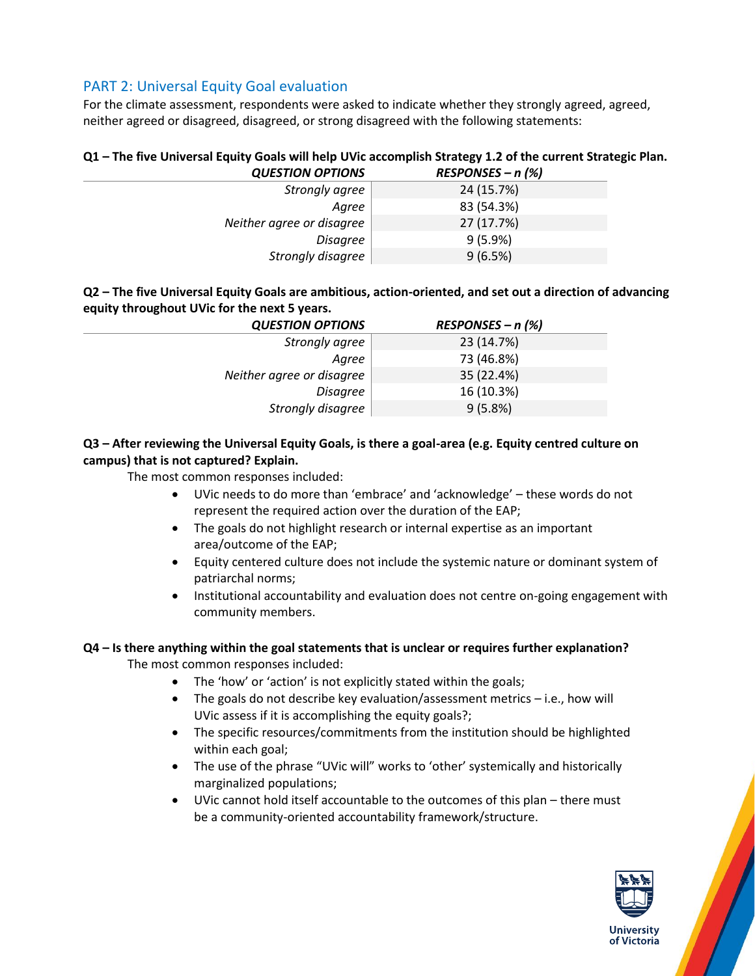## PART 2: Universal Equity Goal evaluation

For the climate assessment, respondents were asked to indicate whether they strongly agreed, agreed, neither agreed or disagreed, disagreed, or strong disagreed with the following statements:

#### **Q1 – The five Universal Equity Goals will help UVic accomplish Strategy 1.2 of the current Strategic Plan.** *QUESTION OPTIONS RESPONSES – n (%)*

| 24 (15.7%) |
|------------|
| 83 (54.3%) |
| 27 (17.7%) |
| $9(5.9\%)$ |
| 9(6.5%)    |
|            |

## **Q2 – The five Universal Equity Goals are ambitious, action-oriented, and set out a direction of advancing equity throughout UVic for the next 5 years.**

| <b>QUESTION OPTIONS</b>   | $RESPONSES - n$ (%) |
|---------------------------|---------------------|
| Strongly agree            | 23 (14.7%)          |
| Agree                     | 73 (46.8%)          |
| Neither agree or disagree | 35 (22.4%)          |
| Disagree                  | 16 (10.3%)          |
| Strongly disagree         | 9(5.8%)             |

## **Q3 – After reviewing the Universal Equity Goals, is there a goal-area (e.g. Equity centred culture on campus) that is not captured? Explain.**

The most common responses included:

- UVic needs to do more than 'embrace' and 'acknowledge' these words do not represent the required action over the duration of the EAP;
- The goals do not highlight research or internal expertise as an important area/outcome of the EAP;
- Equity centered culture does not include the systemic nature or dominant system of patriarchal norms;
- Institutional accountability and evaluation does not centre on-going engagement with community members.

#### **Q4 – Is there anything within the goal statements that is unclear or requires further explanation?**

The most common responses included:

- The 'how' or 'action' is not explicitly stated within the goals;
- The goals do not describe key evaluation/assessment metrics i.e., how will UVic assess if it is accomplishing the equity goals?;
- The specific resources/commitments from the institution should be highlighted within each goal;
- The use of the phrase "UVic will" works to 'other' systemically and historically marginalized populations;
- UVic cannot hold itself accountable to the outcomes of this plan there must be a community-oriented accountability framework/structure.

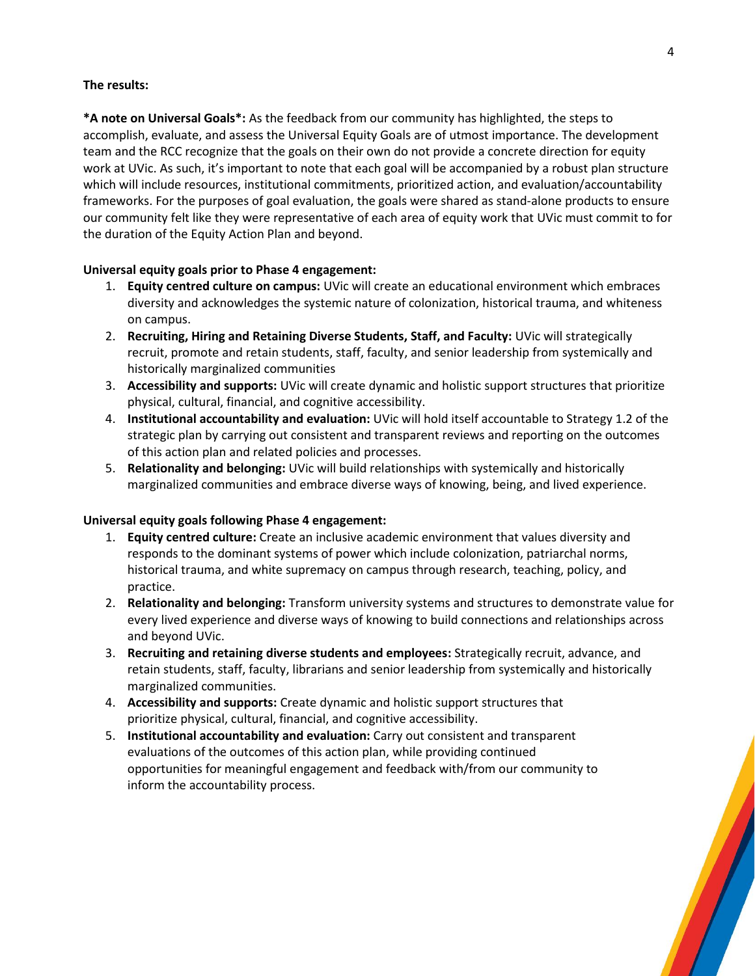#### **The results:**

**\*A note on Universal Goals\*:** As the feedback from our community has highlighted, the steps to accomplish, evaluate, and assess the Universal Equity Goals are of utmost importance. The development team and the RCC recognize that the goals on their own do not provide a concrete direction for equity work at UVic. As such, it's important to note that each goal will be accompanied by a robust plan structure which will include resources, institutional commitments, prioritized action, and evaluation/accountability frameworks. For the purposes of goal evaluation, the goals were shared as stand-alone products to ensure our community felt like they were representative of each area of equity work that UVic must commit to for the duration of the Equity Action Plan and beyond.

#### **Universal equity goals prior to Phase 4 engagement:**

- 1. **Equity centred culture on campus:** UVic will create an educational environment which embraces diversity and acknowledges the systemic nature of colonization, historical trauma, and whiteness on campus.
- 2. **Recruiting, Hiring and Retaining Diverse Students, Staff, and Faculty:** UVic will strategically recruit, promote and retain students, staff, faculty, and senior leadership from systemically and historically marginalized communities
- 3. **Accessibility and supports:** UVic will create dynamic and holistic support structures that prioritize physical, cultural, financial, and cognitive accessibility.
- 4. **Institutional accountability and evaluation:** UVic will hold itself accountable to Strategy 1.2 of the strategic plan by carrying out consistent and transparent reviews and reporting on the outcomes of this action plan and related policies and processes.
- 5. **Relationality and belonging:** UVic will build relationships with systemically and historically marginalized communities and embrace diverse ways of knowing, being, and lived experience.

#### **Universal equity goals following Phase 4 engagement:**

- 1. **Equity centred culture:** Create an inclusive academic environment that values diversity and responds to the dominant systems of power which include colonization, patriarchal norms, historical trauma, and white supremacy on campus through research, teaching, policy, and practice.
- 2. **Relationality and belonging:** Transform university systems and structures to demonstrate value for every lived experience and diverse ways of knowing to build connections and relationships across and beyond UVic.
- 3. **Recruiting and retaining diverse students and employees:** Strategically recruit, advance, and retain students, staff, faculty, librarians and senior leadership from systemically and historically marginalized communities.
- 4. **Accessibility and supports:** Create dynamic and holistic support structures that prioritize physical, cultural, financial, and cognitive accessibility.
- 5. **Institutional accountability and evaluation:** Carry out consistent and transparent evaluations of the outcomes of this action plan, while providing continued opportunities for meaningful engagement and feedback with/from our community to inform the accountability process.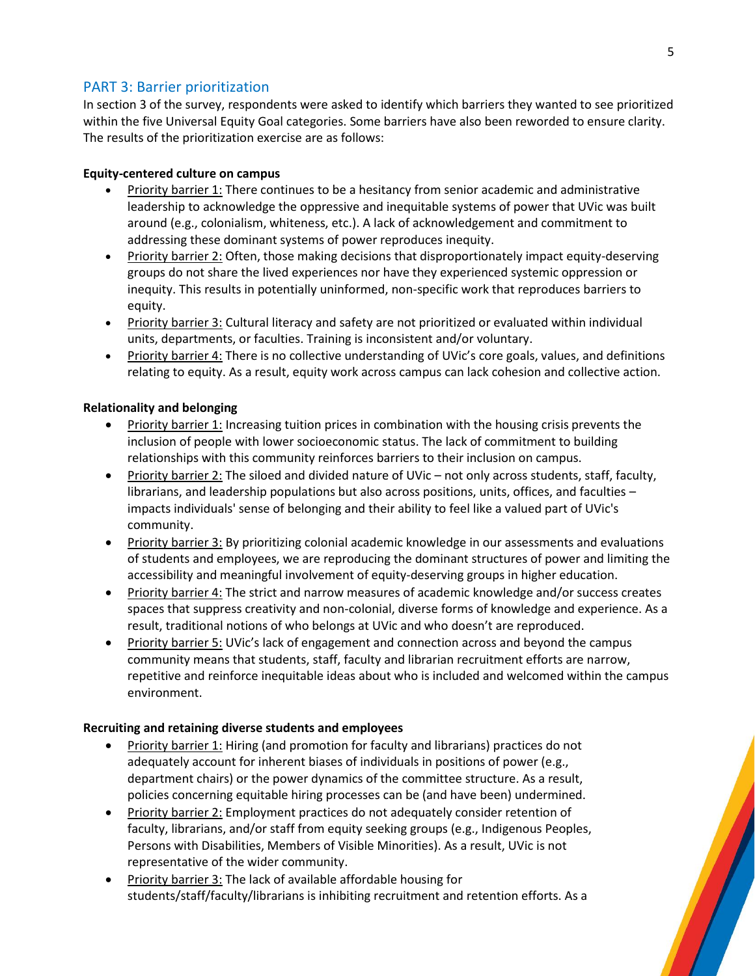## PART 3: Barrier prioritization

In section 3 of the survey, respondents were asked to identify which barriers they wanted to see prioritized within the five Universal Equity Goal categories. Some barriers have also been reworded to ensure clarity. The results of the prioritization exercise are as follows:

#### **Equity-centered culture on campus**

- Priority barrier 1: There continues to be a hesitancy from senior academic and administrative leadership to acknowledge the oppressive and inequitable systems of power that UVic was built around (e.g., colonialism, whiteness, etc.). A lack of acknowledgement and commitment to addressing these dominant systems of power reproduces inequity.
- Priority barrier 2: Often, those making decisions that disproportionately impact equity-deserving groups do not share the lived experiences nor have they experienced systemic oppression or inequity. This results in potentially uninformed, non-specific work that reproduces barriers to equity.
- Priority barrier 3: Cultural literacy and safety are not prioritized or evaluated within individual units, departments, or faculties. Training is inconsistent and/or voluntary.
- Priority barrier 4: There is no collective understanding of UVic's core goals, values, and definitions relating to equity. As a result, equity work across campus can lack cohesion and collective action.

#### **Relationality and belonging**

- Priority barrier 1: Increasing tuition prices in combination with the housing crisis prevents the inclusion of people with lower socioeconomic status. The lack of commitment to building relationships with this community reinforces barriers to their inclusion on campus.
- Priority barrier 2: The siloed and divided nature of UVic not only across students, staff, faculty, librarians, and leadership populations but also across positions, units, offices, and faculties – impacts individuals' sense of belonging and their ability to feel like a valued part of UVic's community.
- Priority barrier 3: By prioritizing colonial academic knowledge in our assessments and evaluations of students and employees, we are reproducing the dominant structures of power and limiting the accessibility and meaningful involvement of equity-deserving groups in higher education.
- Priority barrier 4: The strict and narrow measures of academic knowledge and/or success creates spaces that suppress creativity and non-colonial, diverse forms of knowledge and experience. As a result, traditional notions of who belongs at UVic and who doesn't are reproduced.
- Priority barrier 5: UVic's lack of engagement and connection across and beyond the campus community means that students, staff, faculty and librarian recruitment efforts are narrow, repetitive and reinforce inequitable ideas about who is included and welcomed within the campus environment.

#### **Recruiting and retaining diverse students and employees**

- Priority barrier 1: Hiring (and promotion for faculty and librarians) practices do not adequately account for inherent biases of individuals in positions of power (e.g., department chairs) or the power dynamics of the committee structure. As a result, policies concerning equitable hiring processes can be (and have been) undermined.
- Priority barrier 2: Employment practices do not adequately consider retention of faculty, librarians, and/or staff from equity seeking groups (e.g., Indigenous Peoples, Persons with Disabilities, Members of Visible Minorities). As a result, UVic is not representative of the wider community.
- Priority barrier 3: The lack of available affordable housing for students/staff/faculty/librarians is inhibiting recruitment and retention efforts. As a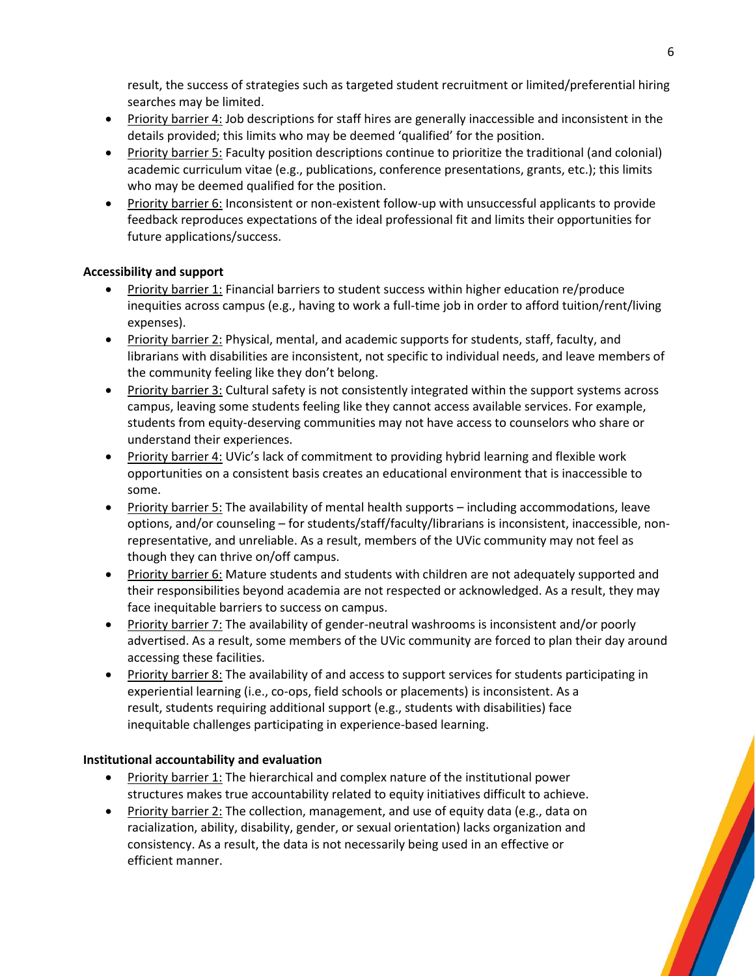result, the success of strategies such as targeted student recruitment or limited/preferential hiring searches may be limited.

- Priority barrier 4: Job descriptions for staff hires are generally inaccessible and inconsistent in the details provided; this limits who may be deemed 'qualified' for the position.
- Priority barrier 5: Faculty position descriptions continue to prioritize the traditional (and colonial) academic curriculum vitae (e.g., publications, conference presentations, grants, etc.); this limits who may be deemed qualified for the position.
- Priority barrier 6: Inconsistent or non-existent follow-up with unsuccessful applicants to provide feedback reproduces expectations of the ideal professional fit and limits their opportunities for future applications/success.

## **Accessibility and support**

- Priority barrier 1: Financial barriers to student success within higher education re/produce inequities across campus (e.g., having to work a full-time job in order to afford tuition/rent/living expenses).
- Priority barrier 2: Physical, mental, and academic supports for students, staff, faculty, and librarians with disabilities are inconsistent, not specific to individual needs, and leave members of the community feeling like they don't belong.
- Priority barrier 3: Cultural safety is not consistently integrated within the support systems across campus, leaving some students feeling like they cannot access available services. For example, students from equity-deserving communities may not have access to counselors who share or understand their experiences.
- Priority barrier 4: UVic's lack of commitment to providing hybrid learning and flexible work opportunities on a consistent basis creates an educational environment that is inaccessible to some.
- Priority barrier 5: The availability of mental health supports including accommodations, leave options, and/or counseling – for students/staff/faculty/librarians is inconsistent, inaccessible, nonrepresentative, and unreliable. As a result, members of the UVic community may not feel as though they can thrive on/off campus.
- Priority barrier 6: Mature students and students with children are not adequately supported and their responsibilities beyond academia are not respected or acknowledged. As a result, they may face inequitable barriers to success on campus.
- Priority barrier 7: The availability of gender-neutral washrooms is inconsistent and/or poorly advertised. As a result, some members of the UVic community are forced to plan their day around accessing these facilities.
- Priority barrier 8: The availability of and access to support services for students participating in experiential learning (i.e., co-ops, field schools or placements) is inconsistent. As a result, students requiring additional support (e.g., students with disabilities) face inequitable challenges participating in experience-based learning.

#### **Institutional accountability and evaluation**

- Priority barrier 1: The hierarchical and complex nature of the institutional power structures makes true accountability related to equity initiatives difficult to achieve.
- Priority barrier 2: The collection, management, and use of equity data (e.g., data on racialization, ability, disability, gender, or sexual orientation) lacks organization and consistency. As a result, the data is not necessarily being used in an effective or efficient manner.